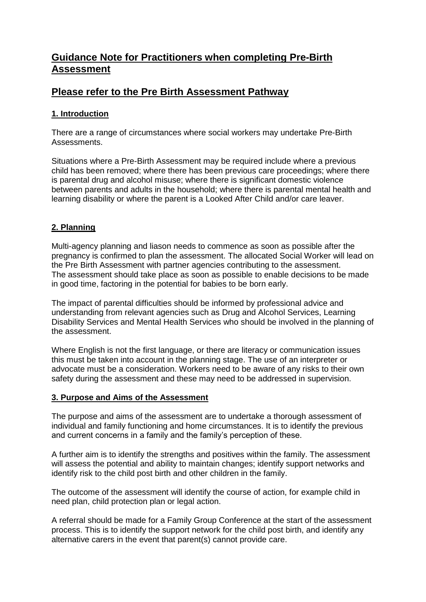# **Guidance Note for Practitioners when completing Pre-Birth Assessment**

## **Please refer to the Pre Birth Assessment Pathway**

## **1. Introduction**

There are a range of circumstances where social workers may undertake Pre-Birth Assessments.

Situations where a Pre-Birth Assessment may be required include where a previous child has been removed; where there has been previous care proceedings; where there is parental drug and alcohol misuse; where there is significant domestic violence between parents and adults in the household; where there is parental mental health and learning disability or where the parent is a Looked After Child and/or care leaver.

## **2. Planning**

Multi-agency planning and liason needs to commence as soon as possible after the pregnancy is confirmed to plan the assessment. The allocated Social Worker will lead on the Pre Birth Assessment with partner agencies contributing to the assessment. The assessment should take place as soon as possible to enable decisions to be made in good time, factoring in the potential for babies to be born early.

The impact of parental difficulties should be informed by professional advice and understanding from relevant agencies such as Drug and Alcohol Services, Learning Disability Services and Mental Health Services who should be involved in the planning of the assessment.

Where English is not the first language, or there are literacy or communication issues this must be taken into account in the planning stage. The use of an interpreter or advocate must be a consideration. Workers need to be aware of any risks to their own safety during the assessment and these may need to be addressed in supervision.

## **3. Purpose and Aims of the Assessment**

The purpose and aims of the assessment are to undertake a thorough assessment of individual and family functioning and home circumstances. It is to identify the previous and current concerns in a family and the family's perception of these.

A further aim is to identify the strengths and positives within the family. The assessment will assess the potential and ability to maintain changes; identify support networks and identify risk to the child post birth and other children in the family.

The outcome of the assessment will identify the course of action, for example child in need plan, child protection plan or legal action.

A referral should be made for a Family Group Conference at the start of the assessment process. This is to identify the support network for the child post birth, and identify any alternative carers in the event that parent(s) cannot provide care.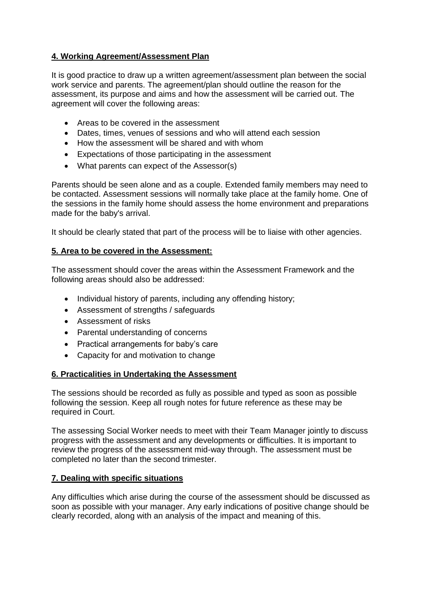## **4. Working Agreement/Assessment Plan**

It is good practice to draw up a written agreement/assessment plan between the social work service and parents. The agreement/plan should outline the reason for the assessment, its purpose and aims and how the assessment will be carried out. The agreement will cover the following areas:

- Areas to be covered in the assessment
- Dates, times, venues of sessions and who will attend each session
- How the assessment will be shared and with whom
- Expectations of those participating in the assessment
- What parents can expect of the Assessor(s)

Parents should be seen alone and as a couple. Extended family members may need to be contacted. Assessment sessions will normally take place at the family home. One of the sessions in the family home should assess the home environment and preparations made for the baby's arrival.

It should be clearly stated that part of the process will be to liaise with other agencies.

## **5. Area to be covered in the Assessment:**

The assessment should cover the areas within the Assessment Framework and the following areas should also be addressed:

- Individual history of parents, including any offending history;
- Assessment of strengths / safeguards
- Assessment of risks
- Parental understanding of concerns
- Practical arrangements for baby's care
- Capacity for and motivation to change

## **6. Practicalities in Undertaking the Assessment**

The sessions should be recorded as fully as possible and typed as soon as possible following the session. Keep all rough notes for future reference as these may be required in Court.

The assessing Social Worker needs to meet with their Team Manager jointly to discuss progress with the assessment and any developments or difficulties. It is important to review the progress of the assessment mid-way through. The assessment must be completed no later than the second trimester.

## **7. Dealing with specific situations**

Any difficulties which arise during the course of the assessment should be discussed as soon as possible with your manager. Any early indications of positive change should be clearly recorded, along with an analysis of the impact and meaning of this.